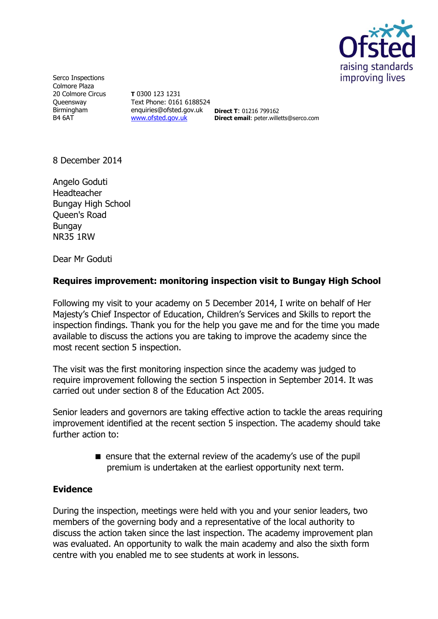

Serco Inspections Colmore Plaza 20 Colmore Circus **Oueensway** Birmingham B4 6AT

**T** 0300 123 1231 Text Phone: 0161 6188524 enquiries@ofsted.gov.uk **Direct T**: 01216 799162 [www.ofsted.gov.uk](http://www.ofsted.gov.uk/)

**Direct email**: peter.willetts@serco.com

8 December 2014

Angelo Goduti Headteacher Bungay High School Queen's Road Bungay NR35 1RW

Dear Mr Goduti

## **Requires improvement: monitoring inspection visit to Bungay High School**

Following my visit to your academy on 5 December 2014, I write on behalf of Her Majesty's Chief Inspector of Education, Children's Services and Skills to report the inspection findings. Thank you for the help you gave me and for the time you made available to discuss the actions you are taking to improve the academy since the most recent section 5 inspection.

The visit was the first monitoring inspection since the academy was judged to require improvement following the section 5 inspection in September 2014. It was carried out under section 8 of the Education Act 2005.

Senior leaders and governors are taking effective action to tackle the areas requiring improvement identified at the recent section 5 inspection. The academy should take further action to:

> **E** ensure that the external review of the academy's use of the pupil premium is undertaken at the earliest opportunity next term.

## **Evidence**

During the inspection, meetings were held with you and your senior leaders, two members of the governing body and a representative of the local authority to discuss the action taken since the last inspection. The academy improvement plan was evaluated. An opportunity to walk the main academy and also the sixth form centre with you enabled me to see students at work in lessons.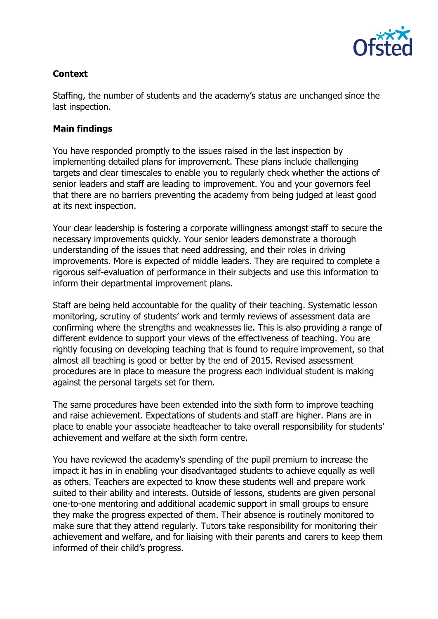

# **Context**

Staffing, the number of students and the academy's status are unchanged since the last inspection.

## **Main findings**

You have responded promptly to the issues raised in the last inspection by implementing detailed plans for improvement. These plans include challenging targets and clear timescales to enable you to regularly check whether the actions of senior leaders and staff are leading to improvement. You and your governors feel that there are no barriers preventing the academy from being judged at least good at its next inspection.

Your clear leadership is fostering a corporate willingness amongst staff to secure the necessary improvements quickly. Your senior leaders demonstrate a thorough understanding of the issues that need addressing, and their roles in driving improvements. More is expected of middle leaders. They are required to complete a rigorous self-evaluation of performance in their subjects and use this information to inform their departmental improvement plans.

Staff are being held accountable for the quality of their teaching. Systematic lesson monitoring, scrutiny of students' work and termly reviews of assessment data are confirming where the strengths and weaknesses lie. This is also providing a range of different evidence to support your views of the effectiveness of teaching. You are rightly focusing on developing teaching that is found to require improvement, so that almost all teaching is good or better by the end of 2015. Revised assessment procedures are in place to measure the progress each individual student is making against the personal targets set for them.

The same procedures have been extended into the sixth form to improve teaching and raise achievement. Expectations of students and staff are higher. Plans are in place to enable your associate headteacher to take overall responsibility for students' achievement and welfare at the sixth form centre.

You have reviewed the academy's spending of the pupil premium to increase the impact it has in in enabling your disadvantaged students to achieve equally as well as others. Teachers are expected to know these students well and prepare work suited to their ability and interests. Outside of lessons, students are given personal one-to-one mentoring and additional academic support in small groups to ensure they make the progress expected of them. Their absence is routinely monitored to make sure that they attend regularly. Tutors take responsibility for monitoring their achievement and welfare, and for liaising with their parents and carers to keep them informed of their child's progress.